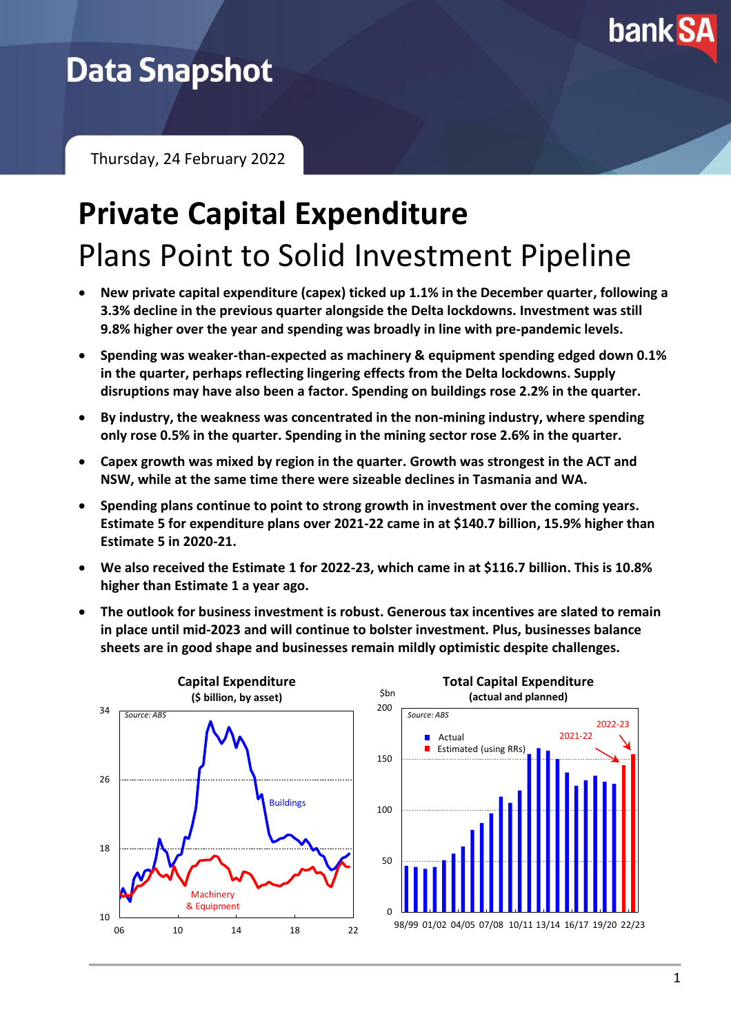

## **Data Snapshot**

Thursday, 24 February 2022

# **Private Capital Expenditure** Plans Point to Solid Investment Pipeline

- **New private capital expenditure (capex) ticked up 1.1% in the December quarter, following a 3.3% decline in the previous quarter alongside the Delta lockdowns. Investment was still 9.8% higher over the year and spending was broadly in line with pre-pandemic levels.**
- **Spending was weaker-than-expected as machinery & equipment spending edged down 0.1% in the quarter, perhaps reflecting lingering effects from the Delta lockdowns. Supply disruptions may have also been a factor. Spending on buildings rose 2.2% in the quarter.**
- **By industry, the weakness was concentrated in the non-mining industry, where spending only rose 0.5% in the quarter. Spending in the mining sector rose 2.6% in the quarter.**
- **Capex growth was mixed by region in the quarter. Growth was strongest in the ACT and NSW, while at the same time there were sizeable declines in Tasmania and WA.**
- **Spending plans continue to point to strong growth in investment over the coming years. Estimate 5 for expenditure plans over 2021-22 came in at \$140.7 billion, 15.9% higher than Estimate 5 in 2020-21.**
- **We also received the Estimate 1 for 2022-23, which came in at \$116.7 billion. This is 10.8% higher than Estimate 1 a year ago.**
- **The outlook for business investment is robust. Generous tax incentives are slated to remain in place until mid-2023 and will continue to bolster investment. Plus, businesses balance sheets are in good shape and businesses remain mildly optimistic despite challenges.**

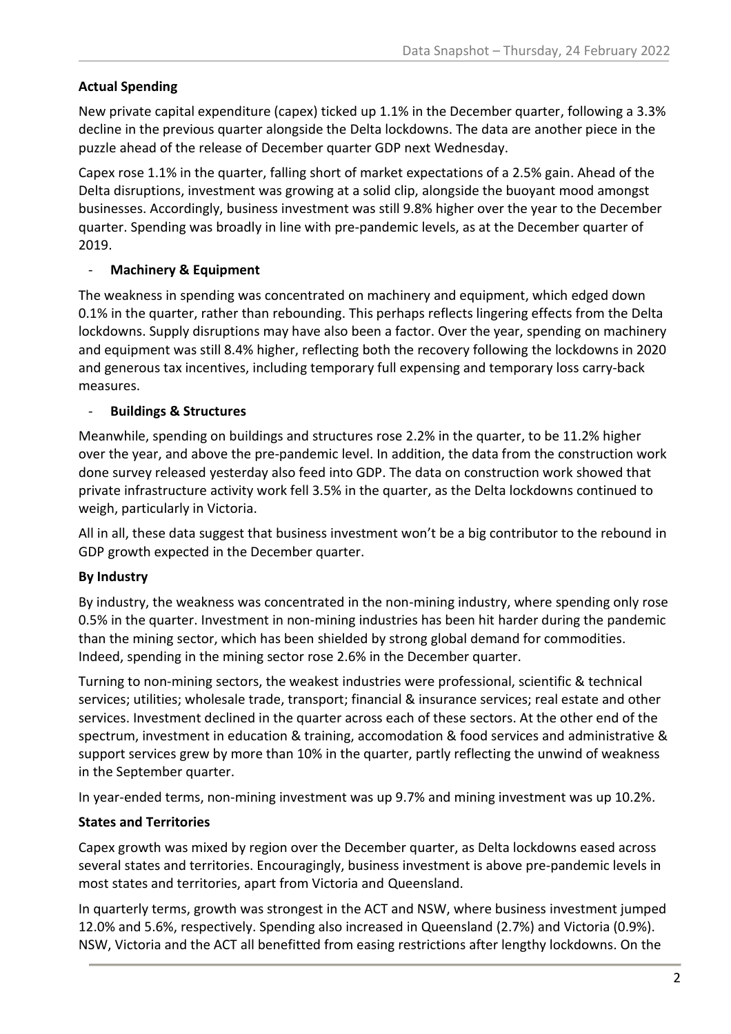#### **Actual Spending**

New private capital expenditure (capex) ticked up 1.1% in the December quarter, following a 3.3% decline in the previous quarter alongside the Delta lockdowns. The data are another piece in the puzzle ahead of the release of December quarter GDP next Wednesday.

Capex rose 1.1% in the quarter, falling short of market expectations of a 2.5% gain. Ahead of the Delta disruptions, investment was growing at a solid clip, alongside the buoyant mood amongst businesses. Accordingly, business investment was still 9.8% higher over the year to the December quarter. Spending was broadly in line with pre-pandemic levels, as at the December quarter of 2019.

#### - **Machinery & Equipment**

The weakness in spending was concentrated on machinery and equipment, which edged down 0.1% in the quarter, rather than rebounding. This perhaps reflects lingering effects from the Delta lockdowns. Supply disruptions may have also been a factor. Over the year, spending on machinery and equipment was still 8.4% higher, reflecting both the recovery following the lockdowns in 2020 and generous tax incentives, including temporary full expensing and temporary loss carry-back measures.

#### - **Buildings & Structures**

Meanwhile, spending on buildings and structures rose 2.2% in the quarter, to be 11.2% higher over the year, and above the pre-pandemic level. In addition, the data from the construction work done survey released yesterday also feed into GDP. The data on construction work showed that private infrastructure activity work fell 3.5% in the quarter, as the Delta lockdowns continued to weigh, particularly in Victoria.

All in all, these data suggest that business investment won't be a big contributor to the rebound in GDP growth expected in the December quarter.

### **By Industry**

By industry, the weakness was concentrated in the non-mining industry, where spending only rose 0.5% in the quarter. Investment in non-mining industries has been hit harder during the pandemic than the mining sector, which has been shielded by strong global demand for commodities. Indeed, spending in the mining sector rose 2.6% in the December quarter.

Turning to non-mining sectors, the weakest industries were professional, scientific & technical services; utilities; wholesale trade, transport; financial & insurance services; real estate and other services. Investment declined in the quarter across each of these sectors. At the other end of the spectrum, investment in education & training, accomodation & food services and administrative & support services grew by more than 10% in the quarter, partly reflecting the unwind of weakness in the September quarter.

In year-ended terms, non-mining investment was up 9.7% and mining investment was up 10.2%.

### **States and Territories**

Capex growth was mixed by region over the December quarter, as Delta lockdowns eased across several states and territories. Encouragingly, business investment is above pre-pandemic levels in most states and territories, apart from Victoria and Queensland.

In quarterly terms, growth was strongest in the ACT and NSW, where business investment jumped 12.0% and 5.6%, respectively. Spending also increased in Queensland (2.7%) and Victoria (0.9%). NSW, Victoria and the ACT all benefitted from easing restrictions after lengthy lockdowns. On the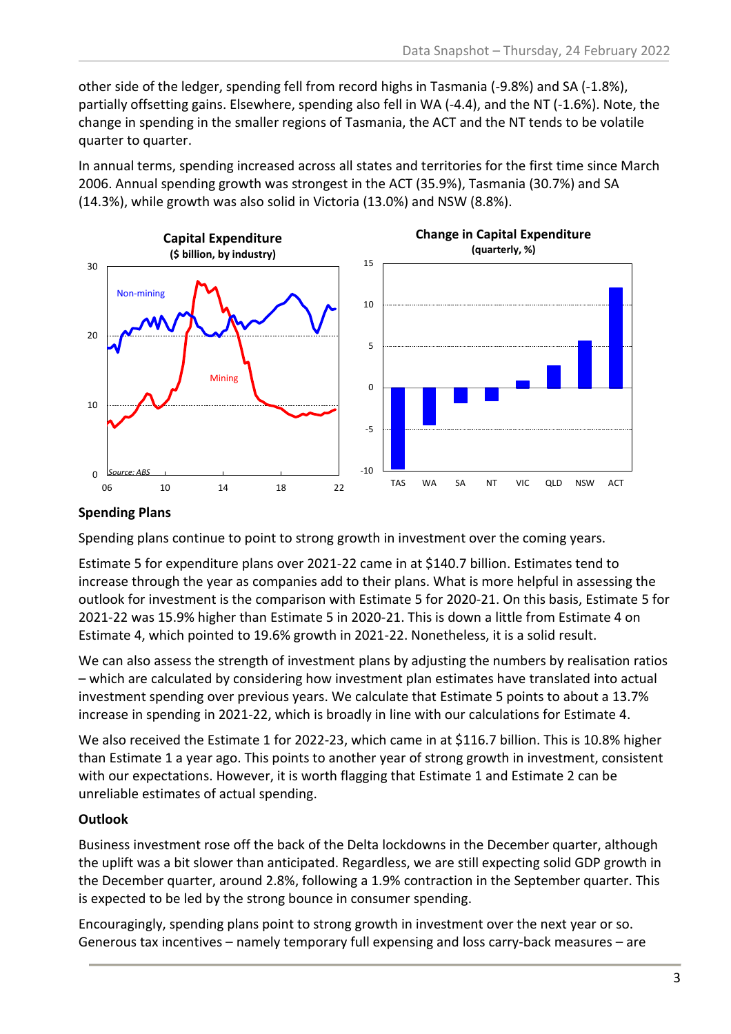other side of the ledger, spending fell from record highs in Tasmania (-9.8%) and SA (-1.8%), partially offsetting gains. Elsewhere, spending also fell in WA (-4.4), and the NT (-1.6%). Note, the change in spending in the smaller regions of Tasmania, the ACT and the NT tends to be volatile quarter to quarter.

In annual terms, spending increased across all states and territories for the first time since March 2006. Annual spending growth was strongest in the ACT (35.9%), Tasmania (30.7%) and SA (14.3%), while growth was also solid in Victoria (13.0%) and NSW (8.8%).



#### **Spending Plans**

Spending plans continue to point to strong growth in investment over the coming years.

Estimate 5 for expenditure plans over 2021-22 came in at \$140.7 billion. Estimates tend to increase through the year as companies add to their plans. What is more helpful in assessing the outlook for investment is the comparison with Estimate 5 for 2020-21. On this basis, Estimate 5 for 2021-22 was 15.9% higher than Estimate 5 in 2020-21. This is down a little from Estimate 4 on Estimate 4, which pointed to 19.6% growth in 2021-22. Nonetheless, it is a solid result.

We can also assess the strength of investment plans by adjusting the numbers by realisation ratios – which are calculated by considering how investment plan estimates have translated into actual investment spending over previous years. We calculate that Estimate 5 points to about a 13.7% increase in spending in 2021-22, which is broadly in line with our calculations for Estimate 4.

We also received the Estimate 1 for 2022-23, which came in at \$116.7 billion. This is 10.8% higher than Estimate 1 a year ago. This points to another year of strong growth in investment, consistent with our expectations. However, it is worth flagging that Estimate 1 and Estimate 2 can be unreliable estimates of actual spending.

### **Outlook**

Business investment rose off the back of the Delta lockdowns in the December quarter, although the uplift was a bit slower than anticipated. Regardless, we are still expecting solid GDP growth in the December quarter, around 2.8%, following a 1.9% contraction in the September quarter. This is expected to be led by the strong bounce in consumer spending.

Encouragingly, spending plans point to strong growth in investment over the next year or so. Generous tax incentives – namely temporary full expensing and loss carry-back measures – are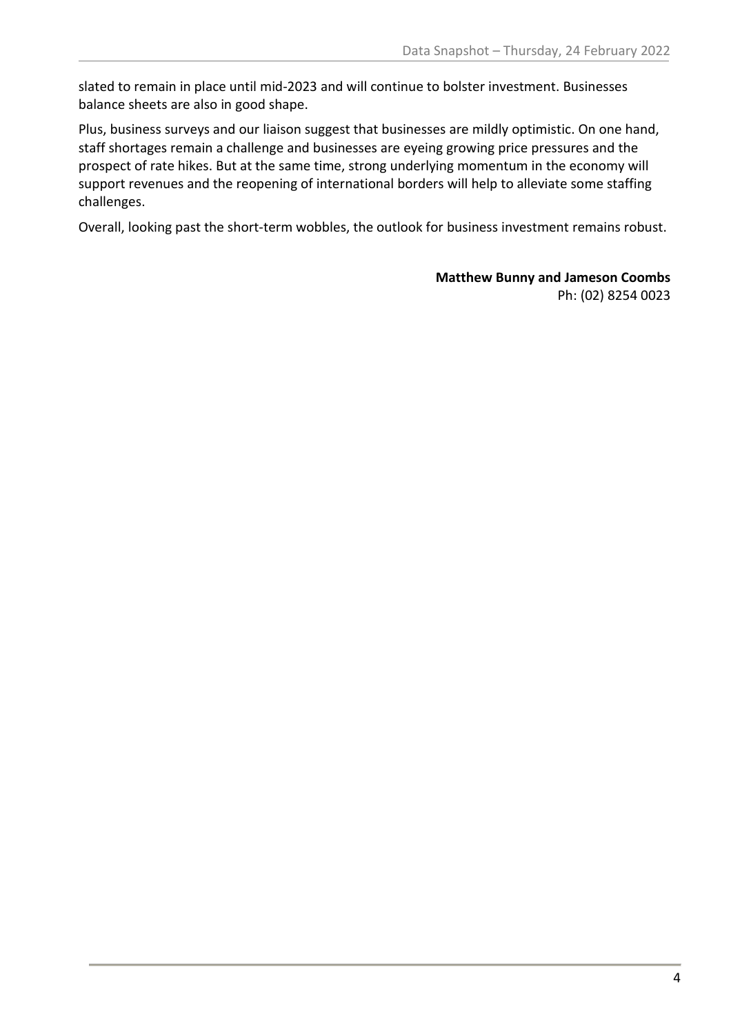slated to remain in place until mid-2023 and will continue to bolster investment. Businesses balance sheets are also in good shape.

Plus, business surveys and our liaison suggest that businesses are mildly optimistic. On one hand, staff shortages remain a challenge and businesses are eyeing growing price pressures and the prospect of rate hikes. But at the same time, strong underlying momentum in the economy will support revenues and the reopening of international borders will help to alleviate some staffing challenges.

Overall, looking past the short-term wobbles, the outlook for business investment remains robust.

**Matthew Bunny and Jameson Coombs** Ph: (02) 8254 0023